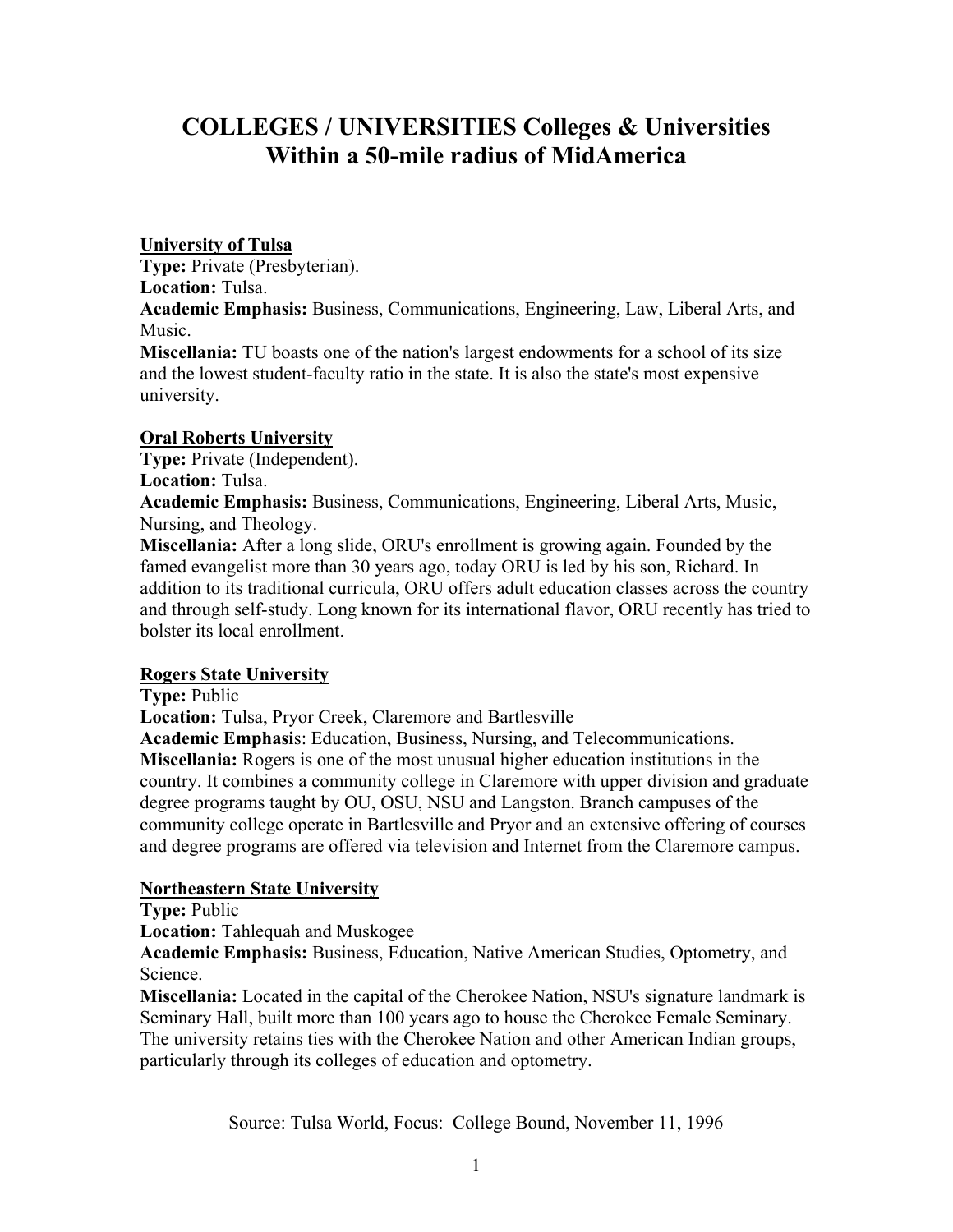# **COLLEGES / UNIVERSITIES Colleges & Universities Within a 50-mile radius of MidAmerica**

#### **University of Tulsa**

**Type:** Private (Presbyterian).

**Location:** Tulsa.

**Academic Emphasis:** Business, Communications, Engineering, Law, Liberal Arts, and Music.

**Miscellania:** TU boasts one of the nation's largest endowments for a school of its size and the lowest student-faculty ratio in the state. It is also the state's most expensive university.

## **Oral Roberts University**

**Type:** Private (Independent).

## **Location:** Tulsa.

**Academic Emphasis:** Business, Communications, Engineering, Liberal Arts, Music, Nursing, and Theology.

**Miscellania:** After a long slide, ORU's enrollment is growing again. Founded by the famed evangelist more than 30 years ago, today ORU is led by his son, Richard. In addition to its traditional curricula, ORU offers adult education classes across the country and through self-study. Long known for its international flavor, ORU recently has tried to bolster its local enrollment.

# **Rogers State University**

**Type:** Public

**Location:** Tulsa, Pryor Creek, Claremore and Bartlesville

**Academic Emphasi**s: Education, Business, Nursing, and Telecommunications. **Miscellania:** Rogers is one of the most unusual higher education institutions in the country. It combines a community college in Claremore with upper division and graduate degree programs taught by OU, OSU, NSU and Langston. Branch campuses of the community college operate in Bartlesville and Pryor and an extensive offering of courses and degree programs are offered via television and Internet from the Claremore campus.

# **Northeastern State University**

**Type:** Public

**Location:** Tahlequah and Muskogee

**Academic Emphasis:** Business, Education, Native American Studies, Optometry, and Science.

**Miscellania:** Located in the capital of the Cherokee Nation, NSU's signature landmark is Seminary Hall, built more than 100 years ago to house the Cherokee Female Seminary. The university retains ties with the Cherokee Nation and other American Indian groups, particularly through its colleges of education and optometry.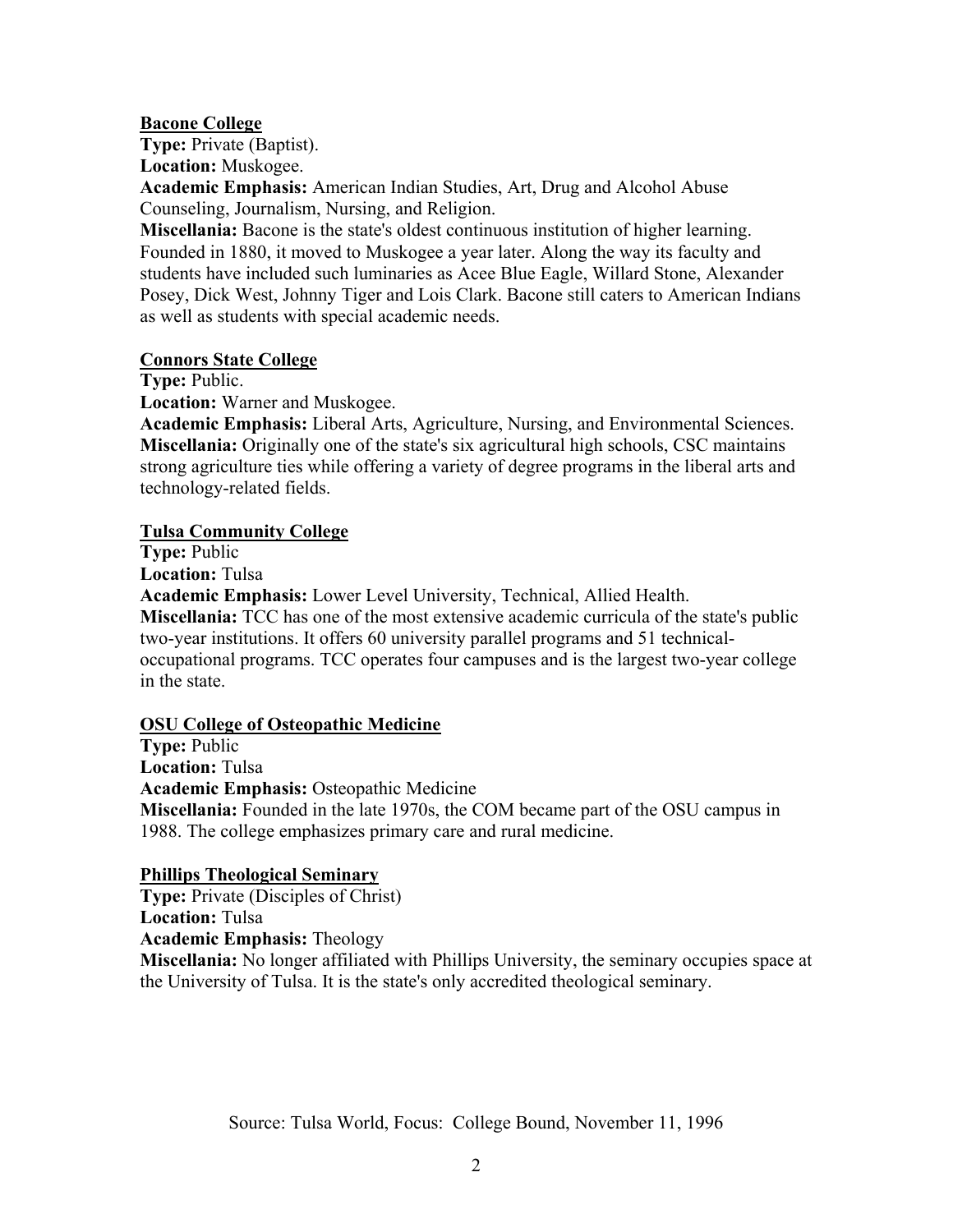#### **Bacone College**

**Type:** Private (Baptist).

**Location:** Muskogee.

**Academic Emphasis:** American Indian Studies, Art, Drug and Alcohol Abuse Counseling, Journalism, Nursing, and Religion.

**Miscellania:** Bacone is the state's oldest continuous institution of higher learning. Founded in 1880, it moved to Muskogee a year later. Along the way its faculty and students have included such luminaries as Acee Blue Eagle, Willard Stone, Alexander Posey, Dick West, Johnny Tiger and Lois Clark. Bacone still caters to American Indians as well as students with special academic needs.

#### **Connors State College**

**Type:** Public.

**Location:** Warner and Muskogee.

**Academic Emphasis:** Liberal Arts, Agriculture, Nursing, and Environmental Sciences. **Miscellania:** Originally one of the state's six agricultural high schools, CSC maintains strong agriculture ties while offering a variety of degree programs in the liberal arts and technology-related fields.

#### **Tulsa Community College**

**Type:** Public

**Location:** Tulsa

**Academic Emphasis:** Lower Level University, Technical, Allied Health.

**Miscellania:** TCC has one of the most extensive academic curricula of the state's public two-year institutions. It offers 60 university parallel programs and 51 technicaloccupational programs. TCC operates four campuses and is the largest two-year college in the state.

#### **OSU College of Osteopathic Medicine**

**Type:** Public **Location:** Tulsa **Academic Emphasis:** Osteopathic Medicine **Miscellania:** Founded in the late 1970s, the COM became part of the OSU campus in 1988. The college emphasizes primary care and rural medicine.

#### **Phillips Theological Seminary**

**Type:** Private (Disciples of Christ) **Location:** Tulsa **Academic Emphasis:** Theology

**Miscellania:** No longer affiliated with Phillips University, the seminary occupies space at the University of Tulsa. It is the state's only accredited theological seminary.